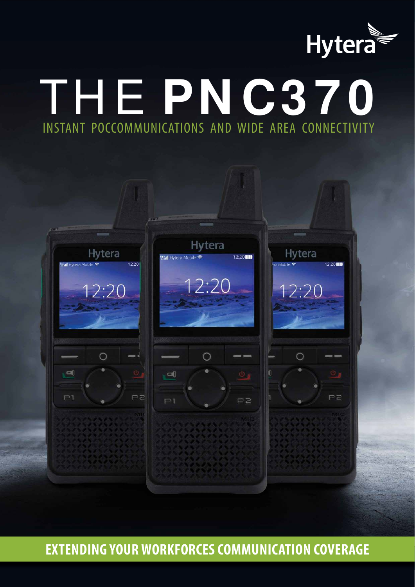

# THE **PNC370** INSTANT POCCOMMUNICATIONS AND WIDE AREA CONNECTIVITY



**EXTENDING YOUR WORKFORCES COMMUNICATION COVERAGE**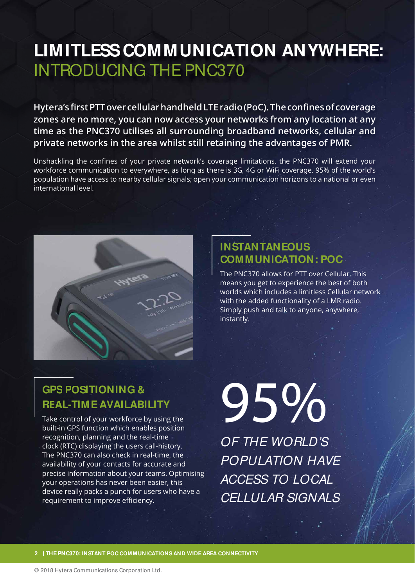## **LIMITLESS COMMUNICATION ANYWHERE:** INTRODUCING THE PNC370

Hytera's first PTT over cellular handheld LTE radio (PoC). The confines of coverage zones are no more, you can now access your networks from any location at any time as the PNC370 utilises all surrounding broadband networks, cellular and private networks in the area whilst still retaining the advantages of PMR.

Unshackling the confines of your private network's coverage limitations, the PNC370 will extend your workforce communication to everywhere, as long as there is 3G, 4G or WiFi coverage. 95% of the world's population have access to nearby cellular signals; open your communication horizons to a national or even international level



#### **INSTANTANEOUS INSTANT COMMUNICATION: POC COMMUN**

The PNC370 allows for PTT over Cellular. This means you get to experience the best of both worlds which includes a limitless Cellular network with the added functionality of a LMR radio. Simply push and talk to anyone, anywhere, instantly.

#### **GPS POSITIONING & GPSPOSI REAL-TIME AVAILABILITY REAL-TIM**

Take control of your workforce by using the built-in GPS function which enables position recognition, planning and the real-time clock (RTC) displaying the users call-history. The PNC370 can also check in real-time, the availability of your contacts for accurate and precise information about your teams. Optimising your operations has never been easier, this device really packs a punch for users who have a requirement to improve efficiency.

95% OF THE WORLD'S POPULATION HAVE ACCESS TO LOCAL CELLULAR SIGNALS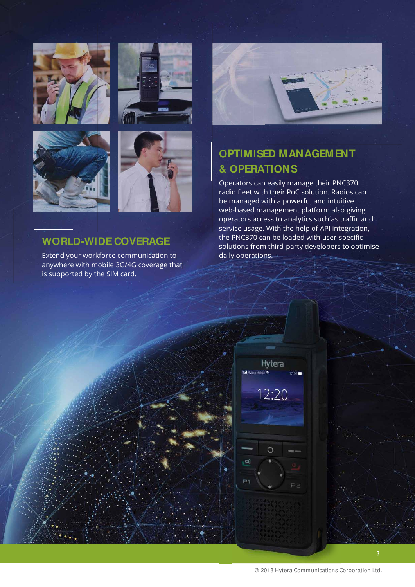







#### **WORLD-WIDE COVERAGE WORLD-W**

Extend your workforce communication to anywhere with mobile 3G/4G coverage that is supported by the SIM card.



### **OPTIMISED MANAGEMENT OPTIMISE & OPERATIONS & OPERAT**

Operators can easily manage their PNC370 radio fleet with their PoC solution. Radios can be managed with a powerful and intuitive web-based management platform also giving operators access to analytics such as traffic and service usage. With the help of API integration, the PNC370 can be loaded with user-specific solutions from third-party developers to optimise daily operations.

| 12:20 |  |  |
|-------|--|--|
|       |  |  |
|       |  |  |
| ᅞ     |  |  |
|       |  |  |

**Hytera** 

1200 m